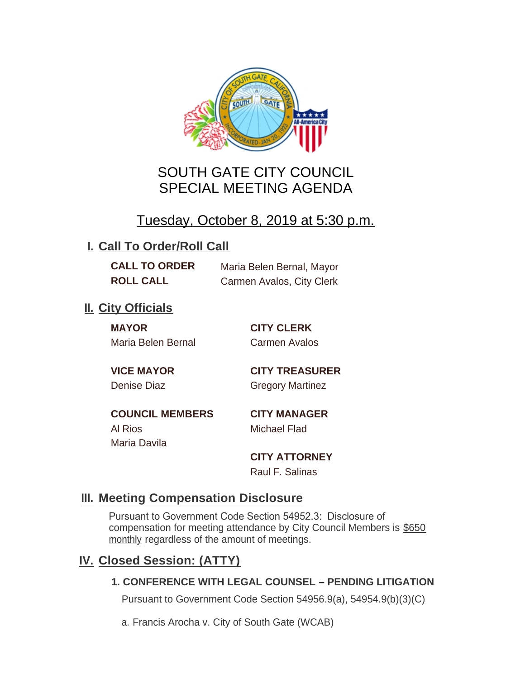

# SOUTH GATE CITY COUNCIL SPECIAL MEETING AGENDA

# Tuesday, October 8, 2019 at 5:30 p.m.

# **I. Call To Order/Roll Call**

**CALL TO ORDER** Maria Belen Bernal, Mayor **ROLL CALL** Carmen Avalos, City Clerk

# **II.** City Officials

**MAYOR CITY CLERK** Maria Belen Bernal Carmen Avalos

**VICE MAYOR CITY TREASURER** Denise Diaz Gregory Martinez

**COUNCIL MEMBERS CITY MANAGER** Al Rios Michael Flad Maria Davila

**CITY ATTORNEY**

Raul F. Salinas

### **Meeting Compensation Disclosure III.**

Pursuant to Government Code Section 54952.3: Disclosure of compensation for meeting attendance by City Council Members is \$650 monthly regardless of the amount of meetings.

### **Closed Session: (ATTY) IV.**

#### **1. CONFERENCE WITH LEGAL COUNSEL – PENDING LITIGATION**

Pursuant to Government Code Section 54956.9(a), 54954.9(b)(3)(C)

a. Francis Arocha v. City of South Gate (WCAB)